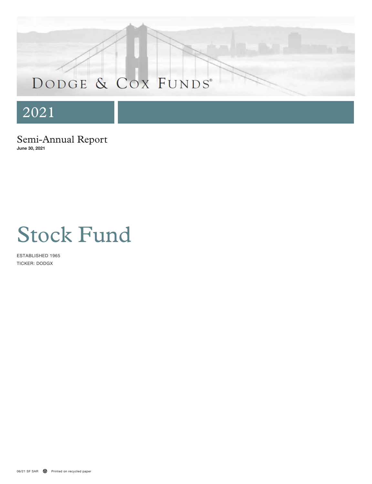# DODGE & COX FUNDS®

## 2021

Semi-Annual Report **June 30, 2021**



ESTABLISHED 1965 TICKER: DODGX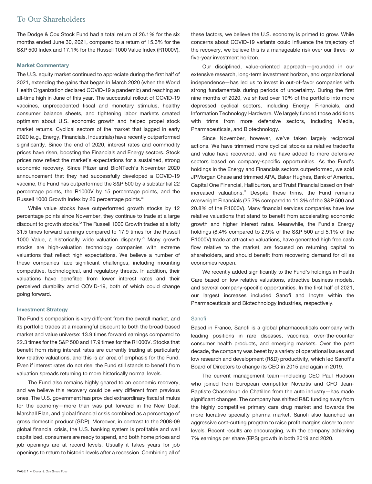## To Our Shareholders

The Dodge & Cox Stock Fund had a total return of 26.1% for the six months ended June 30, 2021, compared to a return of 15.3% for the S&P 500 Index and 17.1% for the Russell 1000 Value Index (R1000V).

#### **Market Commentary**

The U.S. equity market continued to appreciate during the first half of 2021, extending the gains that began in March 2020 (when the World Health Organization declared COVID-19 a pandemic) and reaching an all-time high in June of this year. The successful rollout of COVID-19 vaccines, unprecedented fiscal and monetary stimulus, healthy consumer balance sheets, and tightening labor markets created optimism about U.S. economic growth and helped propel stock market returns. Cyclical sectors of the market that lagged in early 2020 (e.g., Energy, Financials, Industrials) have recently outperformed significantly. Since the end of 2020, interest rates and commodity prices have risen, boosting the Financials and Energy sectors. Stock prices now reflect the market's expectations for a sustained, strong economic recovery. Since Pfizer and BioNTech's November 2020 announcement that they had successfully developed a COVID-19 vaccine, the Fund has outperformed the S&P 500 by a substantial 22 percentage points, the R1000V by 15 percentage points, and the Russell 1000 Growth Index by 26 percentage points.<sup>a</sup>

While value stocks have outperformed growth stocks by 12 percentage points since November, they continue to trade at a large discount to growth stocks.<sup>b</sup> The Russell 1000 Growth trades at a lofty 31.5 times forward earnings compared to 17.9 times for the Russell 1000 Value, a historically wide valuation disparity. $\degree$  Many growth stocks are high-valuation technology companies with extreme valuations that reflect high expectations. We believe a number of these companies face significant challenges, including mounting competitive, technological, and regulatory threats. In addition, their valuations have benefited from lower interest rates and their perceived durability amid COVID-19, both of which could change going forward.

#### **Investment Strategy**

The Fund's composition is very different from the overall market, and its portfolio trades at a meaningful discount to both the broad-based market and value universe: 13.9 times forward earnings compared to 22.3 times for the S&P 500 and 17.9 times for the R1000V. Stocks that benefit from rising interest rates are currently trading at particularly low relative valuations, and this is an area of emphasis for the Fund. Even if interest rates do not rise, the Fund still stands to benefit from valuation spreads returning to more historically normal levels.

The Fund also remains highly geared to an economic recovery, and we believe this recovery could be very different from previous ones. The U.S. government has provided extraordinary fiscal stimulus for the economy—more than was put forward in the New Deal, Marshall Plan, and global financial crisis combined as a percentage of gross domestic product (GDP). Moreover, in contrast to the 2008-09 global financial crisis, the U.S. banking system is profitable and well capitalized, consumers are ready to spend, and both home prices and job openings are at record levels. Usually it takes years for job openings to return to historic levels after a recession. Combining all of

these factors, we believe the U.S. economy is primed to grow. While concerns about COVID-19 variants could influence the trajectory of the recovery, we believe this is a manageable risk over our three- to five-year investment horizon.

Our disciplined, value-oriented approach—grounded in our extensive research, long-term investment horizon, and organizational independence—has led us to invest in out-of-favor companies with strong fundamentals during periods of uncertainty. During the first nine months of 2020, we shifted over 10% of the portfolio into more depressed cyclical sectors, including Energy, Financials, and Information Technology Hardware. We largely funded those additions with trims from more defensive sectors, including Media, Pharmaceuticals, and Biotechnology.

Since November, however, we've taken largely reciprocal actions. We have trimmed more cyclical stocks as relative tradeoffs and value have recovered, and we have added to more defensive sectors based on company-specific opportunities. As the Fund's holdings in the Energy and Financials sectors outperformed, we sold JPMorgan Chase and trimmed APA, Baker Hughes, Bank of America, Capital One Financial, Halliburton, and Truist Financial based on their increased valuations.<sup>d</sup> Despite these trims, the Fund remains overweight Financials (25.7% compared to 11.3% of the S&P 500 and 20.8% of the R1000V). Many financial services companies have low relative valuations that stand to benefit from accelerating economic growth and higher interest rates. Meanwhile, the Fund's Energy holdings (8.4% compared to 2.9% of the S&P 500 and 5.1% of the R1000V) trade at attractive valuations, have generated high free cash flow relative to the market, are focused on returning capital to shareholders, and should benefit from recovering demand for oil as economies reopen.

We recently added significantly to the Fund's holdings in Health Care based on low relative valuations, attractive business models, and several company-specific opportunities. In the first half of 2021, our largest increases included Sanofi and Incyte within the Pharmaceuticals and Biotechnology industries, respectively.

#### Sanofi

Based in France, Sanofi is a global pharmaceuticals company with leading positions in rare diseases, vaccines, over-the-counter consumer health products, and emerging markets. Over the past decade, the company was beset by a variety of operational issues and low research and development (R&D) productivity, which led Sanofi's Board of Directors to change its CEO in 2015 and again in 2019.

The current management team—including CEO Paul Hudson who joined from European competitor Novartis and CFO Jean-Baptiste Chasseloup de Chatillon from the auto industry—has made significant changes. The company has shifted R&D funding away from the highly competitive primary care drug market and towards the more lucrative specialty pharma market. Sanofi also launched an aggressive cost-cutting program to raise profit margins closer to peer levels. Recent results are encouraging, with the company achieving 7% earnings per share (EPS) growth in both 2019 and 2020.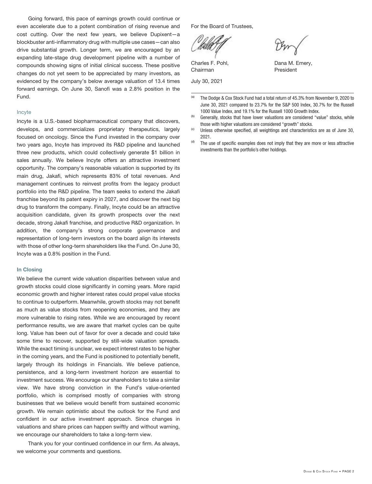Going forward, this pace of earnings growth could continue or even accelerate due to a potent combination of rising revenue and cost cutting. Over the next few years, we believe Dupixent—a blockbuster anti-inflammatory drug with multiple use cases—can also drive substantial growth. Longer term, we are encouraged by an expanding late-stage drug development pipeline with a number of compounds showing signs of initial clinical success. These positive changes do not yet seem to be appreciated by many investors, as evidenced by the company's below average valuation of 13.4 times forward earnings. On June 30, Sanofi was a 2.8% position in the Fund.

#### Incyte

Incyte is a U.S.-based biopharmaceutical company that discovers, develops, and commercializes proprietary therapeutics, largely focused on oncology. Since the Fund invested in the company over two years ago, Incyte has improved its R&D pipeline and launched three new products, which could collectively generate \$1 billion in sales annually. We believe Incyte offers an attractive investment opportunity. The company's reasonable valuation is supported by its main drug, Jakafi, which represents 83% of total revenues. And management continues to reinvest profits from the legacy product portfolio into the R&D pipeline. The team seeks to extend the Jakafi franchise beyond its patent expiry in 2027, and discover the next big drug to transform the company. Finally, Incyte could be an attractive acquisition candidate, given its growth prospects over the next decade, strong Jakafi franchise, and productive R&D organization. In addition, the company's strong corporate governance and representation of long-term investors on the board align its interests with those of other long-term shareholders like the Fund. On June 30, Incyte was a 0.8% position in the Fund.

#### **In Closing**

We believe the current wide valuation disparities between value and growth stocks could close significantly in coming years. More rapid economic growth and higher interest rates could propel value stocks to continue to outperform. Meanwhile, growth stocks may not benefit as much as value stocks from reopening economies, and they are more vulnerable to rising rates. While we are encouraged by recent performance results, we are aware that market cycles can be quite long. Value has been out of favor for over a decade and could take some time to recover, supported by still-wide valuation spreads. While the exact timing is unclear, we expect interest rates to be higher in the coming years, and the Fund is positioned to potentially benefit, largely through its holdings in Financials. We believe patience, persistence, and a long-term investment horizon are essential to investment success. We encourage our shareholders to take a similar view. We have strong conviction in the Fund's value-oriented portfolio, which is comprised mostly of companies with strong businesses that we believe would benefit from sustained economic growth. We remain optimistic about the outlook for the Fund and confident in our active investment approach. Since changes in valuations and share prices can happen swiftly and without warning, we encourage our shareholders to take a long-term view.

Thank you for your continued confidence in our firm. As always, we welcome your comments and questions.

For the Board of Trustees,

Charles F. Pohl, Chairman

July 30, 2021

Dana M. Emery, President

- (a) The Dodge & Cox Stock Fund had a total return of 45.3% from November 9, 2020 to June 30, 2021 compared to 23.7% for the S&P 500 Index, 30.7% for the Russell 1000 Value Index, and 19.1% for the Russell 1000 Growth Index.
- (b) Generally, stocks that have lower valuations are considered "value" stocks, while those with higher valuations are considered "growth" stocks.
- (c) Unless otherwise specified, all weightings and characteristics are as of June 30, 2021.
- $<sup>(d)</sup>$  The use of specific examples does not imply that they are more or less attractive</sup> investments than the portfolio's other holdings.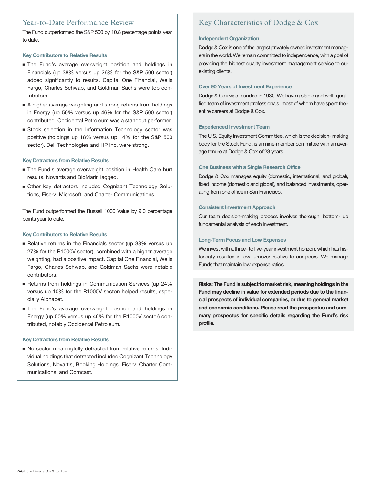## Year-to-Date Performance Review

The Fund outperformed the S&P 500 by 10.8 percentage points year to date.

#### **Key Contributors to Relative Results**

- The Fund's average overweight position and holdings in Financials (up 38% versus up 26% for the S&P 500 sector) added significantly to results. Capital One Financial, Wells Fargo, Charles Schwab, and Goldman Sachs were top contributors.
- **A** higher average weighting and strong returns from holdings in Energy (up 50% versus up 46% for the S&P 500 sector) contributed. Occidental Petroleum was a standout performer.
- **Stock selection in the Information Technology sector was** positive (holdings up 18% versus up 14% for the S&P 500 sector). Dell Technologies and HP Inc. were strong.

#### **Key Detractors from Relative Results**

- **The Fund's average overweight position in Health Care hurt** results. Novartis and BioMarin lagged.
- Other key detractors included Cognizant Technology Solutions, Fiserv, Microsoft, and Charter Communications.

The Fund outperformed the Russell 1000 Value by 9.0 percentage points year to date.

#### **Key Contributors to Relative Results**

- Relative returns in the Financials sector (up 38% versus up 27% for the R1000V sector), combined with a higher average weighting, had a positive impact. Capital One Financial, Wells Fargo, Charles Schwab, and Goldman Sachs were notable contributors.
- Returns from holdings in Communication Services (up 24% versus up 10% for the R1000V sector) helped results, especially Alphabet.
- **The Fund's average overweight position and holdings in** Energy (up 50% versus up 46% for the R1000V sector) contributed, notably Occidental Petroleum.

#### **Key Detractors from Relative Results**

- No sector meaningfully detracted from relative returns. Individual holdings that detracted included Cognizant Technology Solutions, Novartis, Booking Holdings, Fiserv, Charter Communications, and Comcast.

## Key Characteristics of Dodge & Cox

#### **Independent Organization**

Dodge & Cox is one of the largest privately owned investment managers in the world.We remain committed to independence, with a goal of providing the highest quality investment management service to our existing clients.

#### **Over 90 Years of Investment Experience**

Dodge & Cox was founded in 1930. We have a stable and well- qualified team of investment professionals, most of whom have spent their entire careers at Dodge & Cox.

#### **Experienced Investment Team**

The U.S. Equity Investment Committee, which is the decision- making body for the Stock Fund, is an nine-member committee with an average tenure at Dodge & Cox of 23 years.

#### **One Business with a Single Research Office**

Dodge & Cox manages equity (domestic, international, and global), fixed income (domestic and global), and balanced investments, operating from one office in San Francisco.

#### **Consistent Investment Approach**

Our team decision-making process involves thorough, bottom- up fundamental analysis of each investment.

#### **Long-Term Focus and Low Expenses**

We invest with a three- to five-year investment horizon, which has historically resulted in low turnover relative to our peers. We manage Funds that maintain low expense ratios.

**Risks: The Fund is subject tomarket risk,meaning holdings in the Fund may decline in value for extended periods due to the financial prospects of individual companies, or due to general market and economic conditions. Please read the prospectus and summary prospectus for specific details regarding the Fund's risk profile.**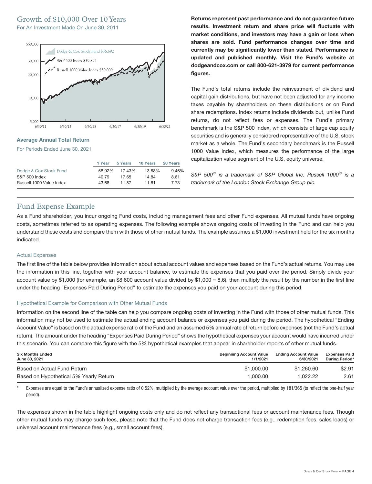### Growth of \$10,000 Over 10Years

For An Investment Made On June 30, 2011



#### **Average Annual Total Return**

For Periods Ended June 30, 2021

|                          | 1 Year | 5 Years 10 Years |        | 20 Years |
|--------------------------|--------|------------------|--------|----------|
| Dodge & Cox Stock Fund   | 58.92% | 17.43%           | 13.88% | 9.46%    |
| S&P 500 Index            | 40.79  | 17.65            | 14.84  | 8.61     |
| Russell 1000 Value Index | 43.68  | 11.87            | 11.61  | 7.73     |

**Returns represent past performance and do not guarantee future results. Investment return and share price will fluctuate with market conditions, and investors may have a gain or loss when shares are sold. Fund performance changes over time and currently may be significantly lower than stated. Performance is updated and published monthly. Visit the Fund's website at dodgeandcox.com or call 800-621-3979 for current performance figures.**

The Fund's total returns include the reinvestment of dividend and capital gain distributions, but have not been adjusted for any income taxes payable by shareholders on these distributions or on Fund share redemptions. Index returns include dividends but, unlike Fund returns, do not reflect fees or expenses. The Fund's primary benchmark is the S&P 500 Index, which consists of large cap equity securities and is generally considered representative of the U.S. stock market as a whole. The Fund's secondary benchmark is the Russell 1000 Value Index, which measures the performance of the large capitalization value segment of the U.S. equity universe.

S&P 500<sup>®</sup> is a trademark of S&P Global Inc. Russell 1000<sup>®</sup> is a trademark of the London Stock Exchange Group plc.

## Fund Expense Example

As a Fund shareholder, you incur ongoing Fund costs, including management fees and other Fund expenses. All mutual funds have ongoing costs, sometimes referred to as operating expenses. The following example shows ongoing costs of investing in the Fund and can help you understand these costs and compare them with those of other mutual funds. The example assumes a \$1,000 investment held for the six months indicated.

#### Actual Expenses

The first line of the table below provides information about actual account values and expenses based on the Fund's actual returns. You may use the information in this line, together with your account balance, to estimate the expenses that you paid over the period. Simply divide your account value by \$1,000 (for example, an \$8,600 account value divided by \$1,000 = 8.6), then multiply the result by the number in the first line under the heading "Expenses Paid During Period" to estimate the expenses you paid on your account during this period.

#### Hypothetical Example for Comparison with Other Mutual Funds

Information on the second line of the table can help you compare ongoing costs of investing in the Fund with those of other mutual funds. This information may not be used to estimate the actual ending account balance or expenses you paid during the period. The hypothetical "Ending Account Value" is based on the actual expense ratio of the Fund and an assumed 5% annual rate of return before expenses (not the Fund's actual return). The amount under the heading "Expenses Paid During Period" shows the hypothetical expenses your account would have incurred under this scenario. You can compare this figure with the 5% hypothetical examples that appear in shareholder reports of other mutual funds.

| <b>Six Months Ended</b><br>June 30, 2021 | <b>Beginning Account Value</b><br>1/1/2021 | <b>Ending Account Value</b><br>6/30/2021 | <b>Expenses Paid</b><br><b>During Period*</b> |
|------------------------------------------|--------------------------------------------|------------------------------------------|-----------------------------------------------|
| Based on Actual Fund Return              | \$1,000,00                                 | \$1,260,60                               | \$2.91                                        |
| Based on Hypothetical 5% Yearly Return   | 1.000.00                                   | .022.22                                  | 2.61                                          |

Expenses are equal to the Fund's annualized expense ratio of 0.52%, multiplied by the average account value over the period, multiplied by 181/365 (to reflect the one-half year period).

The expenses shown in the table highlight ongoing costs only and do not reflect any transactional fees or account maintenance fees. Though other mutual funds may charge such fees, please note that the Fund does not charge transaction fees (e.g., redemption fees, sales loads) or universal account maintenance fees (e.g., small account fees).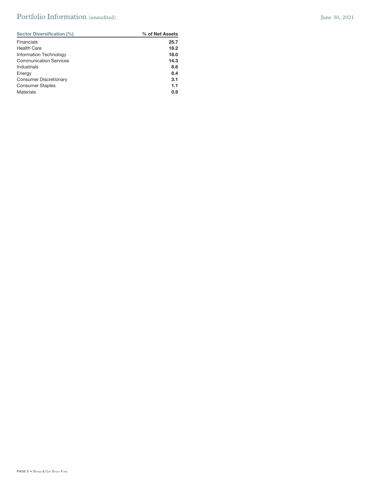## Portfolio Information (unaudited) June 30, 2021

| Sector Diversification (%)    | % of Net Assets |
|-------------------------------|-----------------|
| Financials                    | 25.7            |
| <b>Health Care</b>            | 18.2            |
| Information Technology        | 18.0            |
| <b>Communication Services</b> | 14.3            |
| Industrials                   | 8.6             |
| Energy                        | 8.4             |
| Consumer Discretionary        | 3.1             |
| <b>Consumer Staples</b>       | 1.1             |
| Materials                     | 0.9             |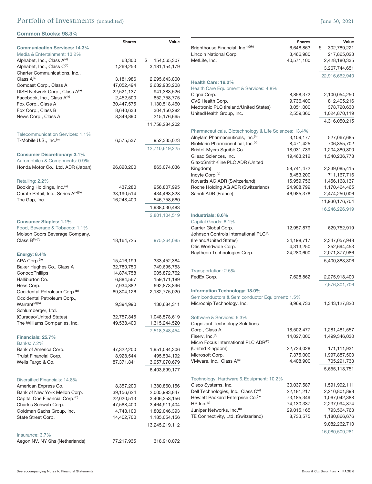## Portfolio of Investments (unaudited) June 30, 2021

#### **Common Stocks: 98.3%**

|                                                 | <b>Shares</b> | Value             |
|-------------------------------------------------|---------------|-------------------|
| <b>Communication Services: 14.3%</b>            |               |                   |
| Media & Entertainment: 13.2%                    |               |                   |
| Alphabet, Inc., Class A(a)                      | 63,300        | 154,565,307<br>\$ |
| Alphabet, Inc., Class C(a)                      | 1,269,253     | 3,181,154,179     |
| Charter Communications, Inc.,                   |               |                   |
|                                                 |               |                   |
| Class $A^{(a)}$                                 | 3,181,986     | 2,295,643,800     |
| Comcast Corp., Class A                          | 47,052,494    | 2,682,933,208     |
| DISH Network Corp., Class A(a)                  | 22,521,137    | 941,383,526       |
| Facebook, Inc., Class A(a)                      | 2,452,500     | 852,758,775       |
| Fox Corp., Class A                              | 30,447,575    | 1,130,518,460     |
| Fox Corp., Class B                              | 8,640,633     | 304,150,282       |
| News Corp., Class A                             | 8,349,890     | 215,176,665       |
|                                                 |               | 11,758,284,202    |
|                                                 |               |                   |
| Telecommunication Services: 1.1%                |               |                   |
| T-Mobile U.S., Inc. <sup>(a)</sup>              | 6,575,537     | 952,335,023       |
|                                                 |               |                   |
|                                                 |               | 12,710,619,225    |
| <b>Consumer Discretionary: 3.1%</b>             |               |                   |
| Automobiles & Components: 0.9%                  |               |                   |
| Honda Motor Co., Ltd. ADR (Japan)               | 26,820,200    | 863,074,036       |
|                                                 |               |                   |
| Retailing: 2.2%                                 |               |                   |
| Booking Holdings, Inc. <sup>(a)</sup>           | 437,280       | 956,807,995       |
| Qurate Retail, Inc., Series A <sup>(a)(b)</sup> | 33,190,514    | 434,463,828       |
| The Gap, Inc.                                   | 16,248,400    | 546,758,660       |
|                                                 |               |                   |
|                                                 |               | 1,938,030,483     |
|                                                 |               | 2,801,104,519     |
| <b>Consumer Staples: 1.1%</b>                   |               |                   |
| Food, Beverage & Tobacco: 1.1%                  |               |                   |
| Molson Coors Beverage Company,                  |               |                   |
| Class $B^{(a)(b)}$                              | 18,164,725    | 975,264,085       |
|                                                 |               |                   |
|                                                 |               |                   |
| Energy: $8.4\%$                                 |               |                   |
| APA Corp. <sup>(b)</sup>                        | 15,416,199    | 333,452,384       |
| Baker Hughes Co., Class A                       | 32,780,750    | 749,695,753       |
| ConocoPhillips                                  | 14,874,758    | 905,872,762       |
| Halliburton Co.                                 | 6,884,567     | 159,171,189       |
| Hess Corp.                                      | 7,934,882     | 692,873,896       |
| Occidental Petroleum Corp. <sup>(b)</sup>       | 69,804,126    | 2,182,775,020     |
| Occidental Petroleum Corp.,                     |               |                   |
| Warrant <sup>(a)(b)</sup>                       |               | 130,684,311       |
|                                                 | 9,394,990     |                   |
| Schlumberger, Ltd.                              |               |                   |
| (Curacao/United States)                         | 32,757,845    | 1,048,578,619     |
| The Williams Companies, Inc.                    | 49,538,400    | 1,315,244,520     |
|                                                 |               | 7,518,348,454     |
| Financials: 25.7%                               |               |                   |
| <b>Banks: 7.2%</b>                              |               |                   |
| Bank of America Corp.                           | 47,322,200    | 1,951,094,306     |
| Truist Financial Corp.                          | 8,928,544     | 495,534,192       |
| Wells Fargo & Co.                               |               |                   |
|                                                 | 87,371,841    | 3,957,070,679     |
|                                                 |               | 6,403,699,177     |
|                                                 |               |                   |
| Diversified Financials: 14.8%                   |               |                   |
| American Express Co.                            | 8,357,200     | 1,380,860,156     |
| Bank of New York Mellon Corp.                   | 39,156,624    | 2,005,993,847     |
| Capital One Financial Corp. <sup>(b)</sup>      | 22,020,513    | 3,406,353,156     |
| Charles Schwab Corp.                            | 47,588,400    | 3,464,911,404     |
| Goldman Sachs Group, Inc.                       | 4,748,100     | 1,802,046,393     |
| State Street Corp.                              | 14,402,700    | 1,185,054,156     |
|                                                 |               |                   |
|                                                 |               | 13,245,219,112    |
| Insurance: 3.7%                                 |               |                   |
| Aegon NV, NY Shs (Netherlands)                  | 77,217,935    | 318,910,072       |
|                                                 |               |                   |

|                                                       | <b>Shares</b>            | Value                          |
|-------------------------------------------------------|--------------------------|--------------------------------|
| Brighthouse Financial, Inc. (a)(b)                    | 6,648,863                | \$<br>302,789,221              |
| Lincoln National Corp.                                | 3,466,980                | 217,865,023                    |
| MetLife, Inc.                                         | 40,571,100               | 2,428,180,335                  |
|                                                       |                          | 3,267,744,651                  |
|                                                       |                          |                                |
| Health Care: 18.2%                                    |                          | 22,916,662,940                 |
| Health Care Equipment & Services: 4.8%                |                          |                                |
| Cigna Corp.                                           | 8,858,372                | 2,100,054,250                  |
| CVS Health Corp.                                      | 9,736,400                | 812,405,216                    |
| Medtronic PLC (Ireland/United States)                 | 3,051,000                | 378,720,630                    |
| UnitedHealth Group, Inc.                              |                          |                                |
|                                                       | 2,559,360                | 1,024,870,119                  |
|                                                       |                          | 4,316,050,215                  |
| Pharmaceuticals, Biotechnology & Life Sciences: 13.4% |                          |                                |
| Alnylam Pharmaceuticals, Inc. <sup>(a)</sup>          | 3,109,177                | 527,067,685                    |
| BioMarin Pharmaceutical, Inc. <sup>(a)</sup>          | 8,471,425                | 706,855,702                    |
| Bristol-Myers Squibb Co.                              | 18,031,739               | 1,204,880,800                  |
| Gilead Sciences, Inc.                                 | 19,463,212               | 1,340,236,778                  |
| GlaxoSmithKline PLC ADR (United                       |                          |                                |
| Kingdom)                                              | 58,741,472               | 2,339,085,415                  |
| Incyte Corp. <sup>(a)</sup>                           | 8,453,200                | 711,167,716                    |
| Novartis AG ADR (Switzerland)                         | 15,959,756               | 1,456,168,137                  |
| Roche Holding AG ADR (Switzerland)                    | 24,908,799               | 1,170,464,465                  |
| Sanofi ADR (France)                                   | 46,985,378               | 2,474,250,006                  |
|                                                       |                          | 11,930,176,704                 |
|                                                       |                          |                                |
|                                                       |                          | 16,246,226,919                 |
| Industrials: 8.6%                                     |                          |                                |
| Capital Goods: 6.1%                                   |                          |                                |
| Carrier Global Corp.                                  | 12,957,879               | 629,752,919                    |
| Johnson Controls International PLC <sup>(b)</sup>     |                          |                                |
| (Ireland/United States)                               | 34,198,717               | 2,347,057,948                  |
| Otis Worldwide Corp.                                  | 4,313,250                | 352,694,453                    |
| Raytheon Technologies Corp.                           | 24,280,600               | 2,071,377,986                  |
|                                                       |                          | 5,400,883,306                  |
| Transportation: 2.5%                                  |                          |                                |
| FedEx Corp.                                           | 7,628,862                | 2,275,918,400                  |
|                                                       |                          | 7,676,801,706                  |
| <b>Information Technology: 18.0%</b>                  |                          |                                |
| Semiconductors & Semiconductor Equipment: 1.5%        |                          |                                |
| Microchip Technology, Inc.                            | 8,969,733                | 1,343,127,820                  |
|                                                       |                          |                                |
| Software & Services: 6.3%                             |                          |                                |
| <b>Cognizant Technology Solutions</b>                 |                          |                                |
| Corp., Class A                                        |                          |                                |
| Fiserv, Inc. <sup>(a)</sup>                           | 18,502,477<br>14,027,000 | 1,281,481,557<br>1,499,346,030 |
| Micro Focus International PLC ADR <sup>(b)</sup>      |                          |                                |
| (United Kingdom)                                      |                          |                                |
|                                                       | 22,724,028               | 171,111,931                    |
| Microsoft Corp.                                       | 7,375,000                | 1,997,887,500                  |
| VMware, Inc., Class A(a)                              | 4,408,900                | 705,291,733                    |
|                                                       |                          | 5,655,118,751                  |
| Technology, Hardware & Equipment: 10.2%               |                          |                                |
| Cisco Systems, Inc.                                   | 30,037,587               | 1,591,992,111                  |
| Dell Technologies, Inc., Class C <sup>(a)</sup>       | 22,181,217               | 2,210,801,898                  |
| Hewlett Packard Enterprise Co. <sup>(b)</sup>         | 73,185,349               | 1,067,042,388                  |
| HP $Inc.(b)$                                          | 74,130,337               | 2,237,994,874                  |
| Juniper Networks, Inc. <sup>(b)</sup>                 | 29,015,165               | 793,564,763                    |
| TE Connectivity, Ltd. (Switzerland)                   | 8,733,575                | 1,180,866,676                  |
|                                                       |                          |                                |
|                                                       |                          | 9,082,262,710                  |
|                                                       |                          | 16,080,509,281                 |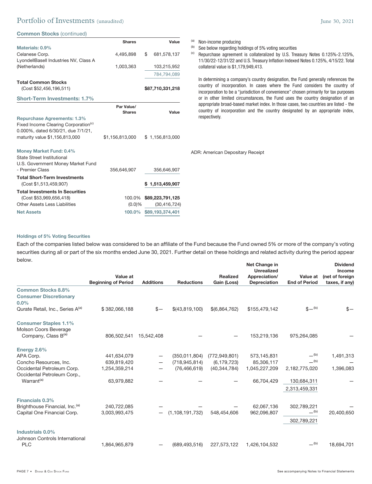## Portfolio of Investments (unaudited) June 30, 2021

#### **Common Stocks** (continued)

|                                                  | <b>Shares</b>   | Value             |
|--------------------------------------------------|-----------------|-------------------|
| Materials: 0.9%                                  |                 |                   |
| Celanese Corp.                                   | 4,495,898       | \$<br>681,578,137 |
| LyondellBasell Industries NV, Class A            |                 |                   |
| (Netherlands)                                    | 1,003,363       | 103,215,952       |
|                                                  |                 | 784,794,089       |
| <b>Total Common Stocks</b>                       |                 |                   |
| (Cost \$52,456,196,511)                          |                 | \$87,710,331,218  |
| <b>Short-Term Investments: 1.7%</b>              |                 |                   |
|                                                  | Par Value/      |                   |
|                                                  | <b>Shares</b>   | Value             |
| <b>Repurchase Agreements: 1.3%</b>               |                 |                   |
| Fixed Income Clearing Corporation <sup>(c)</sup> |                 |                   |
| 0.000%, dated 6/30/21, due 7/1/21,               |                 |                   |
| maturity value \$1,156,813,000                   | \$1,156,813,000 | \$1,156,813,000   |
| <b>Money Market Fund: 0.4%</b>                   |                 |                   |
| State Street Institutional                       |                 |                   |
| U.S. Government Money Market Fund                |                 |                   |
| - Premier Class                                  | 356,646,907     | 356,646,907       |
| <b>Total Short-Term Investments</b>              |                 |                   |
| (Cost \$1,513,459,907)                           |                 | 1,513,459,907     |
| <b>Total Investments In Securities</b>           |                 |                   |
| (Cost \$53,969,656,418)                          | 100.0%          | \$89,223,791,125  |
| Other Assets Less Liabilities                    | (0.0)%          | (30, 416, 724)    |
| <b>Net Assets</b>                                | 100.0%          | \$89,193,374,401  |
|                                                  |                 |                   |

(a) Non-income producing

(b) See below regarding holdings of 5% voting securities

(c) Repurchase agreement is collateralized by U.S. Treasury Notes 0.125%-2.125%, 11/30/22-12/31/22 and U.S. Treasury Inflation Indexed Notes 0.125%, 4/15/22. Total collateral value is \$1,179,949,413.

In determining a company's country designation, the Fund generally references the country of incorporation. In cases where the Fund considers the country of incorporation to be a "jurisdiction of convenience" chosen primarily for tax purposes or in other limited circumstances, the Fund uses the country designation of an appropriate broad-based market index. In those cases, two countries are listed - the country of incorporation and the country designated by an appropriate index, respectively.

ADR: American Depositary Receipt

#### **Holdings of 5% Voting Securities**

Each of the companies listed below was considered to be an affiliate of the Fund because the Fund owned 5% or more of the company's voting securities during all or part of the six months ended June 30, 2021. Further detail on these holdings and related activity during the period appear below. **Net Change in Dividend**

|                                                            | Value at<br><b>Beginning of Period</b> | <b>Additions</b> | <b>Reductions</b>  | <b>Realized</b><br>Gain (Loss) | <b>Unrealized</b><br>Appreciation/<br><b>Depreciation</b> | Value at<br><b>End of Period</b> | <b>Income</b><br>(net of foreign<br>taxes, if any) |
|------------------------------------------------------------|----------------------------------------|------------------|--------------------|--------------------------------|-----------------------------------------------------------|----------------------------------|----------------------------------------------------|
| <b>Common Stocks 8.8%</b><br><b>Consumer Discretionary</b> |                                        |                  |                    |                                |                                                           |                                  |                                                    |
| $0.0\%$<br>Qurate Retail, Inc., Series A <sup>(a)</sup>    | \$382,066,188                          | $s-$             | \$(43,819,100)     | \$(6,864,762)                  | \$155,479,142                                             | $$ - (b)$                        | $s-$                                               |
| <b>Consumer Staples 1.1%</b>                               |                                        |                  |                    |                                |                                                           |                                  |                                                    |
| Molson Coors Beverage<br>Company, Class B(a)               | 806,502,541                            | 15,542,408       |                    |                                | 153,219,136                                               | 975,264,085                      |                                                    |
| Energy 2.6%                                                |                                        |                  |                    |                                |                                                           |                                  |                                                    |
| APA Corp.                                                  | 441,634,079                            |                  | (350, 011, 804)    | (772, 949, 801)                | 573,145,831                                               | $-$ <sup>(b)</sup>               | 1,491,313                                          |
| Concho Resources, Inc.                                     | 639,819,420                            | -                | (718, 945, 814)    | (6, 179, 723)                  | 85,306,117                                                | $-$ (b)                          |                                                    |
| Occidental Petroleum Corp.                                 | 1,254,359,214                          |                  | (76, 466, 619)     | (40, 344, 784)                 | 1,045,227,209                                             | 2,182,775,020                    | 1,396,083                                          |
| Occidental Petroleum Corp.,                                |                                        |                  |                    |                                |                                                           |                                  |                                                    |
| Warrant <sup>(a)</sup>                                     | 63,979,882                             |                  |                    |                                | 66,704,429                                                | 130,684,311                      |                                                    |
|                                                            |                                        |                  |                    |                                |                                                           | 2,313,459,331                    |                                                    |
| Financials 0.3%                                            |                                        |                  |                    |                                |                                                           |                                  |                                                    |
| Brighthouse Financial, Inc. <sup>(a)</sup>                 | 240,722,085                            |                  |                    |                                | 62,067,136                                                | 302,789,221                      |                                                    |
| Capital One Financial Corp.                                | 3,003,993,475                          |                  | (1, 108, 191, 732) | 548,454,606                    | 962.096.807                                               | $-$ <sup>(b)</sup>               | 20,400,650                                         |
|                                                            |                                        |                  |                    |                                |                                                           | 302,789,221                      |                                                    |
| Industrials 0.0%<br>Johnson Controls International         |                                        |                  |                    |                                |                                                           |                                  |                                                    |
| <b>PLC</b>                                                 | 1,864,965,879                          |                  | (689, 493, 516)    | 227,573,122                    | 1,426,104,532                                             | $-$ <sup>(b)</sup>               | 18,694,701                                         |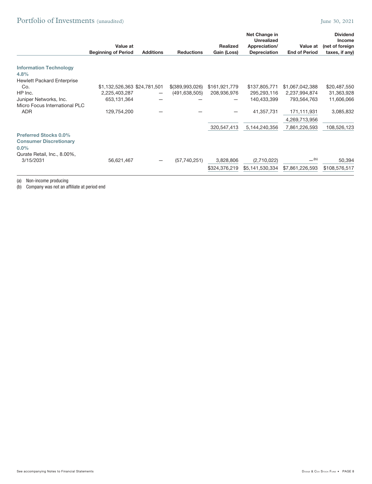## Portfolio of Investments (unaudited) June 30, 2021

|                               | Value at<br><b>Beginning of Period</b> | <b>Additions</b> | <b>Reductions</b> | <b>Realized</b><br>Gain (Loss) | Net Change in<br><b>Unrealized</b><br>Appreciation/<br><b>Depreciation</b> | Value at<br><b>End of Period</b> | <b>Dividend</b><br>Income<br>(net of foreign<br>taxes, if any) |
|-------------------------------|----------------------------------------|------------------|-------------------|--------------------------------|----------------------------------------------------------------------------|----------------------------------|----------------------------------------------------------------|
| <b>Information Technology</b> |                                        |                  |                   |                                |                                                                            |                                  |                                                                |
| 4.8%                          |                                        |                  |                   |                                |                                                                            |                                  |                                                                |
| Hewlett Packard Enterprise    |                                        |                  |                   |                                |                                                                            |                                  |                                                                |
| Co.                           | \$1,132,526,363 \$24,781,501           |                  | \$(389,993,026)   | \$161,921,779                  | \$137,805,771                                                              | \$1,067,042,388                  | \$20,487,550                                                   |
| HP Inc.                       | 2,225,403,287                          |                  | (491, 638, 505)   | 208,936,976                    | 295,293,116                                                                | 2,237,994,874                    | 31,363,928                                                     |
| Juniper Networks, Inc.        | 653,131,364                            |                  |                   |                                | 140,433,399                                                                | 793,564,763                      | 11,606,066                                                     |
| Micro Focus International PLC |                                        |                  |                   |                                |                                                                            |                                  |                                                                |
| <b>ADR</b>                    | 129,754,200                            |                  |                   |                                | 41,357,731                                                                 | 171,111,931                      | 3,085,832                                                      |
|                               |                                        |                  |                   |                                |                                                                            | 4,269,713,956                    |                                                                |
|                               |                                        |                  |                   | 320,547,413                    | 5,144,240,356                                                              | 7,861,226,593                    | 108,526,123                                                    |
| <b>Preferred Stocks 0.0%</b>  |                                        |                  |                   |                                |                                                                            |                                  |                                                                |
| <b>Consumer Discretionary</b> |                                        |                  |                   |                                |                                                                            |                                  |                                                                |
| $0.0\%$                       |                                        |                  |                   |                                |                                                                            |                                  |                                                                |
| Qurate Retail, Inc., 8.00%,   |                                        |                  |                   |                                |                                                                            |                                  |                                                                |
| 3/15/2031                     | 56,621,467                             |                  | (57, 740, 251)    | 3,828,806                      | (2,710,022)                                                                | $-$ (b)                          | 50,394                                                         |
|                               |                                        |                  |                   |                                |                                                                            |                                  | \$108,576,517                                                  |
|                               |                                        |                  |                   | \$324,376,219                  | \$5,141,530,334                                                            | \$7,861,226,593                  |                                                                |

(a) Non-income producing

(b) Company was not an affiliate at period end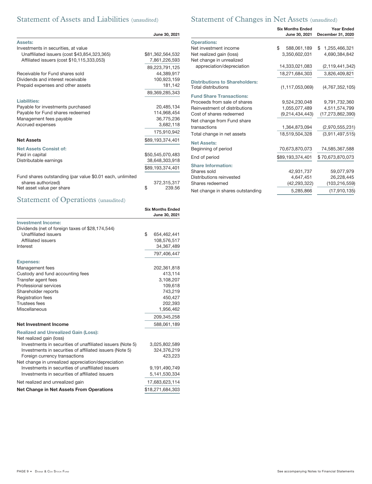## Statement of Assets and Liabilities (unaudited)

## Statement of Changes in Net Assets (unaudited)

|                                                           | June 30, 2021    |
|-----------------------------------------------------------|------------------|
| Assets:                                                   |                  |
| Investments in securities, at value                       |                  |
| Unaffiliated issuers (cost \$43,854,323,365)              | \$81.362.564.532 |
| Affiliated issuers (cost \$10,115,333,053)                | 7,861,226,593    |
|                                                           | 89,223,791,125   |
| Receivable for Fund shares sold                           | 44,389,917       |
| Dividends and interest receivable                         | 100,923,159      |
| Prepaid expenses and other assets                         | 181,142          |
|                                                           | 89.369.285.343   |
| Liabilities:                                              |                  |
| Payable for investments purchased                         | 20,485,134       |
| Payable for Fund shares redeemed                          | 114,968,454      |
| Management fees payable                                   | 36.775.236       |
| Accrued expenses                                          | 3,682,118        |
|                                                           | 175,910,942      |
| <b>Net Assets</b>                                         | \$89,193,374,401 |
| <b>Net Assets Consist of:</b>                             |                  |
| Paid in capital                                           | \$50,545,070,483 |
| Distributable earnings                                    | 38,648,303,918   |
|                                                           | \$89,193,374,401 |
| Fund shares outstanding (par value \$0.01 each, unlimited |                  |
| shares authorized)                                        | 372.315.317      |
| Net asset value per share                                 | \$<br>239.56     |

## Statement of Operations (unaudited)

|                                                                         | <b>Six Months Ended</b><br>June 30, 2021 |
|-------------------------------------------------------------------------|------------------------------------------|
| <b>Investment Income:</b>                                               |                                          |
| Dividends (net of foreign taxes of \$28,174,544)                        |                                          |
| Unaffiliated issuers                                                    | \$<br>654,462,441                        |
| Affiliated issuers                                                      | 108,576,517                              |
| Interest                                                                | 34, 367, 489                             |
|                                                                         | 797,406,447                              |
| <b>Expenses:</b>                                                        |                                          |
| Management fees                                                         | 202,361,818                              |
| Custody and fund accounting fees                                        | 413,114                                  |
| Transfer agent fees                                                     | 3,108,207                                |
| Professional services                                                   | 109,618                                  |
| Shareholder reports                                                     | 743,219                                  |
| Registration fees                                                       | 450,427                                  |
| <b>Trustees fees</b>                                                    | 202,393                                  |
| Miscellaneous                                                           | 1,956,462                                |
|                                                                         | 209,345,258                              |
| <b>Net Investment Income</b>                                            | 588,061,189                              |
| <b>Realized and Unrealized Gain (Loss):</b><br>Net realized gain (loss) |                                          |
| Investments in securities of unaffiliated issuers (Note 5)              | 3,025,802,589                            |
| Investments in securities of affiliated issuers (Note 5)                | 324,376,219                              |
| Foreign currency transactions                                           | 423.223                                  |
| Net change in unrealized appreciation/depreciation                      |                                          |
| Investments in securities of unaffiliated issuers                       | 9,191,490,749                            |
| Investments in securities of affiliated issuers                         | 5,141,530,334                            |
| Net realized and unrealized gain                                        | 17,683,623,114                           |
| <b>Net Change in Net Assets From Operations</b>                         | \$18,271,684,303                         |

|                                                              | <b>Six Months Ended</b><br>June 30, 2021 | <b>Year Ended</b><br>December 31, 2020 |
|--------------------------------------------------------------|------------------------------------------|----------------------------------------|
| <b>Operations:</b>                                           |                                          |                                        |
| Net investment income                                        | \$<br>588,061,189                        | \$1,255,466,321                        |
| Net realized gain (loss)<br>Net change in unrealized         | 3,350,602,031                            | 4,690,384,842                          |
| appreciation/depreciation                                    | 14,333,021,083                           | (2, 119, 441, 342)                     |
|                                                              | 18,271,684,303                           | 3,826,409,821                          |
| <b>Distributions to Shareholders:</b><br>Total distributions | (1, 117, 053, 069)                       | (4,767,352,105)                        |
| <b>Fund Share Transactions:</b>                              |                                          |                                        |
| Proceeds from sale of shares                                 | 9,524,230,048                            | 9,791,732,360                          |
| Reinvestment of distributions                                | 1,055,077,489                            | 4,511,574,799                          |
| Cost of shares redeemed                                      | (9,214,434,443)                          | (17, 273, 862, 390)                    |
| Net change from Fund share                                   |                                          |                                        |
| transactions                                                 | 1,364,873,094                            | (2,970,555,231)                        |
| Total change in net assets                                   | 18,519,504,328                           | (3,911,497,515)                        |
| <b>Net Assets:</b>                                           |                                          |                                        |
| Beginning of period                                          | 70,673,870,073                           | 74,585,367,588                         |
| End of period                                                | \$89,193,374,401                         | \$70,673,870,073                       |
| <b>Share Information:</b>                                    |                                          |                                        |
| Shares sold                                                  | 42,931,737                               | 59,077,979                             |
| Distributions reinvested                                     | 4,647,451                                | 26,228,445                             |
| Shares redeemed                                              | (42, 293, 322)                           | (103, 216, 559)                        |
| Net change in shares outstanding                             | 5,285,866                                | (17, 910, 135)                         |
|                                                              |                                          |                                        |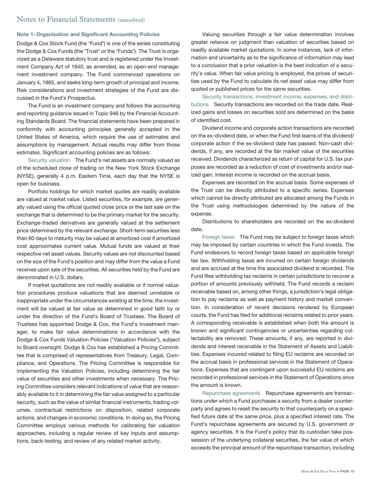## Notes to Financial Statements (unaudited)

#### **Note 1: Organization and Significant Accounting Policies**

Dodge & Cox Stock Fund (the "Fund") is one of the series constituting the Dodge & Cox Funds (the "Trust" or the "Funds"). The Trust is organized as a Delaware statutory trust and is registered under the Investment Company Act of 1940, as amended, as an open-end management investment company. The Fund commenced operations on January 4, 1965, and seeks long-term growth of principal and income. Risk considerations and investment strategies of the Fund are discussed in the Fund's Prospectus.

The Fund is an investment company and follows the accounting and reporting guidance issued in Topic 946 by the Financial Accounting Standards Board. The financial statements have been prepared in conformity with accounting principles generally accepted in the United States of America, which require the use of estimates and assumptions by management. Actual results may differ from those estimates. Significant accounting policies are as follows:

Security valuation The Fund's net assets are normally valued as of the scheduled close of trading on the New York Stock Exchange (NYSE), generally 4 p.m. Eastern Time, each day that the NYSE is open for business.

Portfolio holdings for which market quotes are readily available are valued at market value. Listed securities, for example, are generally valued using the official quoted close price or the last sale on the exchange that is determined to be the primary market for the security. Exchange-traded derivatives are generally valued at the settlement price determined by the relevant exchange. Short-term securities less than 60 days to maturity may be valued at amortized cost if amortized cost approximates current value. Mutual funds are valued at their respective net asset values. Security values are not discounted based on the size of the Fund's position and may differ from the value a Fund receives upon sale of the securities. All securities held by the Fund are denominated in U.S. dollars.

If market quotations are not readily available or if normal valuation procedures produce valuations that are deemed unreliable or inappropriate under the circumstances existing at the time, the investment will be valued at fair value as determined in good faith by or under the direction of the Fund's Board of Trustees. The Board of Trustees has appointed Dodge & Cox, the Fund's investment manager, to make fair value determinations in accordance with the Dodge & Cox Funds Valuation Policies ("Valuation Policies"), subject to Board oversight. Dodge & Cox has established a Pricing Committee that is comprised of representatives from Treasury, Legal, Compliance, and Operations. The Pricing Committee is responsible for implementing the Valuation Policies, including determining the fair value of securities and other investments when necessary. The Pricing Committee considers relevant indications of value that are reasonably available to it in determining the fair value assigned to a particular security, such as the value of similar financial instruments, trading volumes, contractual restrictions on disposition, related corporate actions, and changes in economic conditions. In doing so, the Pricing Committee employs various methods for calibrating fair valuation approaches, including a regular review of key inputs and assumptions, back-testing, and review of any related market activity.

Valuing securities through a fair value determination involves greater reliance on judgment than valuation of securities based on readily available market quotations. In some instances, lack of information and uncertainty as to the significance of information may lead to a conclusion that a prior valuation is the best indication of a security's value. When fair value pricing is employed, the prices of securities used by the Fund to calculate its net asset value may differ from quoted or published prices for the same securities.

Security transactions, investment income, expenses, and distributions Security transactions are recorded on the trade date. Realized gains and losses on securities sold are determined on the basis of identified cost.

Dividend income and corporate action transactions are recorded on the ex-dividend date, or when the Fund first learns of the dividend/ corporate action if the ex-dividend date has passed. Non-cash dividends, if any, are recorded at the fair market value of the securities received. Dividends characterized as return of capital for U.S. tax purposes are recorded as a reduction of cost of investments and/or realized gain. Interest income is recorded on the accrual basis.

Expenses are recorded on the accrual basis. Some expenses of the Trust can be directly attributed to a specific series. Expenses which cannot be directly attributed are allocated among the Funds in the Trust using methodologies determined by the nature of the expense.

Distributions to shareholders are recorded on the ex-dividend date.

Foreign taxes The Fund may be subject to foreign taxes which may be imposed by certain countries in which the Fund invests. The Fund endeavors to record foreign taxes based on applicable foreign tax law. Withholding taxes are incurred on certain foreign dividends and are accrued at the time the associated dividend is recorded. The Fund files withholding tax reclaims in certain jurisdictions to recover a portion of amounts previously withheld. The Fund records a reclaim receivable based on, among other things, a jurisdiction's legal obligation to pay reclaims as well as payment history and market convention. In consideration of recent decisions rendered by European courts, the Fund has filed for additional reclaims related to prior years. A corresponding receivable is established when both the amount is known and significant contingencies or uncertainties regarding collectability are removed. These amounts, if any, are reported in dividends and interest receivable in the Statement of Assets and Liabilities. Expenses incurred related to filing EU reclaims are recorded on the accrual basis in professional services in the Statement of Operations. Expenses that are contingent upon successful EU reclaims are recorded in professional services in the Statement of Operations once the amount is known.

Repurchase agreements Repurchase agreements are transactions under which a Fund purchases a security from a dealer counterparty and agrees to resell the security to that counterparty on a specified future date at the same price, plus a specified interest rate. The Fund's repurchase agreements are secured by U.S. government or agency securities. It is the Fund's policy that its custodian take possession of the underlying collateral securities, the fair value of which exceeds the principal amount of the repurchase transaction, including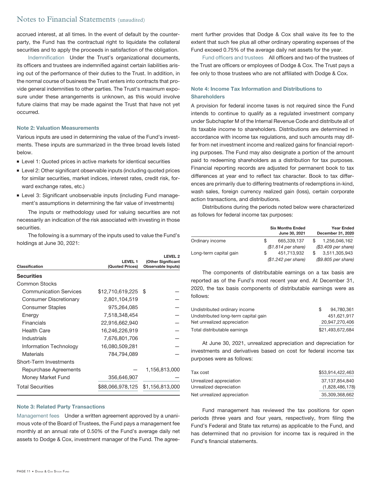## Notes to Financial Statements (unaudited)

accrued interest, at all times. In the event of default by the counterparty, the Fund has the contractual right to liquidate the collateral securities and to apply the proceeds in satisfaction of the obligation.

Indemnification Under the Trust's organizational documents, its officers and trustees are indemnified against certain liabilities arising out of the performance of their duties to the Trust. In addition, in the normal course of business the Trust enters into contracts that provide general indemnities to other parties. The Trust's maximum exposure under these arrangements is unknown, as this would involve future claims that may be made against the Trust that have not yet occurred.

#### **Note 2: Valuation Measurements**

Various inputs are used in determining the value of the Fund's investments. These inputs are summarized in the three broad levels listed below.

- **Example 1: Quoted prices in active markets for identical securities**
- **Level 2: Other significant observable inputs (including quoted prices** for similar securities, market indices, interest rates, credit risk, forward exchange rates, etc.)
- **Level 3: Significant unobservable inputs (including Fund manage**ment's assumptions in determining the fair value of investments)

The inputs or methodology used for valuing securities are not necessarily an indication of the risk associated with investing in those securities.

The following is a summary of the inputs used to value the Fund's holdings at June 30, 2021:

|                               |                                   | LEVEL <sub>2</sub>                       |
|-------------------------------|-----------------------------------|------------------------------------------|
| Classification                | <b>LEVEL 1</b><br>(Quoted Prices) | (Other Significant<br>Observable Inputs) |
| <b>Securities</b>             |                                   |                                          |
| Common Stocks                 |                                   |                                          |
| <b>Communication Services</b> | \$12,710,619,225                  | \$                                       |
| Consumer Discretionary        | 2,801,104,519                     |                                          |
| <b>Consumer Staples</b>       | 975,264,085                       |                                          |
| Energy                        | 7,518,348,454                     |                                          |
| <b>Financials</b>             | 22,916,662,940                    |                                          |
| <b>Health Care</b>            | 16,246,226,919                    |                                          |
| Industrials                   | 7,676,801,706                     |                                          |
| Information Technology        | 16,080,509,281                    |                                          |
| Materials                     | 784,794,089                       |                                          |
| Short-Term Investments        |                                   |                                          |
| Repurchase Agreements         |                                   | 1,156,813,000                            |
| Money Market Fund             | 356,646,907                       |                                          |
| <b>Total Securities</b>       | \$88,066,978,125                  | \$1,156,813,000                          |

#### **Note 3: Related Party Transactions**

Management fees Under a written agreement approved by a unanimous vote of the Board of Trustees, the Fund pays a management fee monthly at an annual rate of 0.50% of the Fund's average daily net assets to Dodge & Cox, investment manager of the Fund. The agreement further provides that Dodge & Cox shall waive its fee to the extent that such fee plus all other ordinary operating expenses of the Fund exceed 0.75% of the average daily net assets for the year.

Fund officers and trustees All officers and two of the trustees of the Trust are officers or employees of Dodge & Cox. The Trust pays a fee only to those trustees who are not affiliated with Dodge & Cox.

#### **Note 4: Income Tax Information and Distributions to Shareholders**

A provision for federal income taxes is not required since the Fund intends to continue to qualify as a regulated investment company under Subchapter M of the Internal Revenue Code and distribute all of its taxable income to shareholders. Distributions are determined in accordance with income tax regulations, and such amounts may differ from net investment income and realized gains for financial reporting purposes. The Fund may also designate a portion of the amount paid to redeeming shareholders as a distribution for tax purposes. Financial reporting records are adjusted for permanent book to tax differences at year end to reflect tax character. Book to tax differences are primarily due to differing treatments of redemptions in-kind, wash sales, foreign currency realized gain (loss), certain corporate action transactions, and distributions.

Distributions during the periods noted below were characterized as follows for federal income tax purposes:

|                        |                     | <b>Six Months Ended</b><br>June 30, 2021 |                     | <b>Year Ended</b><br>December 31, 2020 |
|------------------------|---------------------|------------------------------------------|---------------------|----------------------------------------|
| Ordinary income        |                     | 665.339.137                              |                     | 1.256.046.162                          |
|                        | $$1.814$ per share) |                                          | (\$3.409 per share) |                                        |
| Long-term capital gain | S                   | 451.713.932                              | \$.                 | 3,511,305,943                          |
|                        |                     | $$1.242$ per share)                      |                     | (\$9.805 per share)                    |

The components of distributable earnings on a tax basis are reported as of the Fund's most recent year end. At December 31, 2020, the tax basis components of distributable earnings were as follows:

| Undistributed ordinary income        | 94.780.361       |
|--------------------------------------|------------------|
| Undistributed long-term capital gain | 451.621.917      |
| Net unrealized appreciation          | 20,947,270,406   |
| Total distributable earnings         | \$21,493,672,684 |

At June 30, 2021, unrealized appreciation and depreciation for investments and derivatives based on cost for federal income tax purposes were as follows:

| Tax cost                    | \$53,914,422,463 |  |  |  |
|-----------------------------|------------------|--|--|--|
| Unrealized appreciation     | 37.137.854.840   |  |  |  |
| Unrealized depreciation     | (1,828,486,178)  |  |  |  |
| Net unrealized appreciation | 35.309.368.662   |  |  |  |

Fund management has reviewed the tax positions for open periods (three years and four years, respectively, from filing the Fund's Federal and State tax returns) as applicable to the Fund, and has determined that no provision for income tax is required in the Fund's financial statements.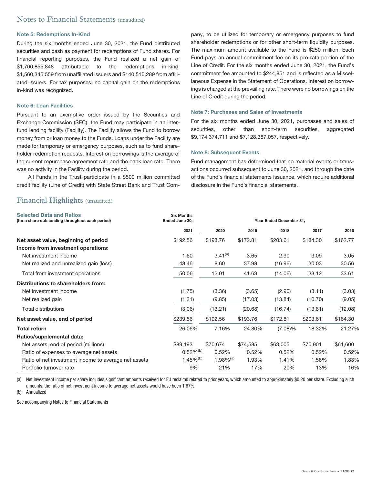## Notes to Financial Statements (unaudited)

#### **Note 5: Redemptions In-Kind**

During the six months ended June 30, 2021, the Fund distributed securities and cash as payment for redemptions of Fund shares. For financial reporting purposes, the Fund realized a net gain of \$1,700,855,848 attributable to the redemptions in-kind: \$1,560,345,559 from unaffiliated issuers and \$140,510,289 from affiliated issuers. For tax purposes, no capital gain on the redemptions in-kind was recognized.

#### **Note 6: Loan Facilities**

Pursuant to an exemptive order issued by the Securities and Exchange Commission (SEC), the Fund may participate in an interfund lending facility (Facility). The Facility allows the Fund to borrow money from or loan money to the Funds. Loans under the Facility are made for temporary or emergency purposes, such as to fund shareholder redemption requests. Interest on borrowings is the average of the current repurchase agreement rate and the bank loan rate. There was no activity in the Facility during the period.

All Funds in the Trust participate in a \$500 million committed credit facility (Line of Credit) with State Street Bank and Trust Company, to be utilized for temporary or emergency purposes to fund shareholder redemptions or for other short-term liquidity purposes. The maximum amount available to the Fund is \$250 million. Each Fund pays an annual commitment fee on its pro-rata portion of the Line of Credit. For the six months ended June 30, 2021, the Fund's commitment fee amounted to \$244,851 and is reflected as a Miscellaneous Expense in the Statement of Operations. Interest on borrowings is charged at the prevailing rate. There were no borrowings on the Line of Credit during the period.

#### **Note 7: Purchases and Sales of Investments**

For the six months ended June 30, 2021, purchases and sales of securities, other than short-term securities, aggregated \$9,174,374,711 and \$7,128,387,057, respectively.

#### **Note 8: Subsequent Events**

Fund management has determined that no material events or transactions occurred subsequent to June 30, 2021, and through the date of the Fund's financial statements issuance, which require additional disclosure in the Fund's financial statements.

## Financial Highlights (unaudited)

| <b>Selected Data and Ratios</b><br>(for a share outstanding throughout each period) | <b>Six Months</b><br>Ended June 30. | Year Ended December 31. |          |            |          |          |
|-------------------------------------------------------------------------------------|-------------------------------------|-------------------------|----------|------------|----------|----------|
|                                                                                     | 2021                                | 2020                    | 2019     | 2018       | 2017     | 2016     |
| Net asset value, beginning of period                                                | \$192.56                            | \$193.76                | \$172.81 | \$203.61   | \$184.30 | \$162.77 |
| Income from investment operations:                                                  |                                     |                         |          |            |          |          |
| Net investment income                                                               | 1.60                                | $3.41^{(a)}$            | 3.65     | 2.90       | 3.09     | 3.05     |
| Net realized and unrealized gain (loss)                                             | 48.46                               | 8.60                    | 37.98    | (16.96)    | 30.03    | 30.56    |
| Total from investment operations                                                    | 50.06                               | 12.01                   | 41.63    | (14.06)    | 33.12    | 33.61    |
| Distributions to shareholders from:                                                 |                                     |                         |          |            |          |          |
| Net investment income                                                               | (1.75)                              | (3.36)                  | (3.65)   | (2.90)     | (3.11)   | (3.03)   |
| Net realized gain                                                                   | (1.31)                              | (9.85)                  | (17.03)  | (13.84)    | (10.70)  | (9.05)   |
| Total distributions                                                                 | (3.06)                              | (13.21)                 | (20.68)  | (16.74)    | (13.81)  | (12.08)  |
| Net asset value, end of period                                                      | \$239.56                            | \$192.56                | \$193.76 | \$172.81   | \$203.61 | \$184.30 |
| <b>Total return</b>                                                                 | 26.06%                              | 7.16%                   | 24.80%   | $(7.08)\%$ | 18.32%   | 21.27%   |
| Ratios/supplemental data:                                                           |                                     |                         |          |            |          |          |
| Net assets, end of period (millions)                                                | \$89,193                            | \$70,674                | \$74,585 | \$63,005   | \$70,901 | \$61,600 |
| Ratio of expenses to average net assets                                             | $0.52\%$ <sup>(b)</sup>             | 0.52%                   | 0.52%    | 0.52%      | 0.52%    | 0.52%    |
| Ratio of net investment income to average net assets                                | $1.45\%$ <sup>(b)</sup>             | $1.98\%$ <sup>(a)</sup> | 1.93%    | 1.41%      | 1.58%    | 1.83%    |
| Portfolio turnover rate                                                             | 9%                                  | 21%                     | 17%      | 20%        | 13%      | 16%      |

(a) Net investment income per share includes significant amounts received for EU reclaims related to prior years, which amounted to approximately \$0.20 per share. Excluding such amounts, the ratio of net investment income to average net assets would have been 1.87%.

(b) Annualized

See accompanying Notes to Financial Statements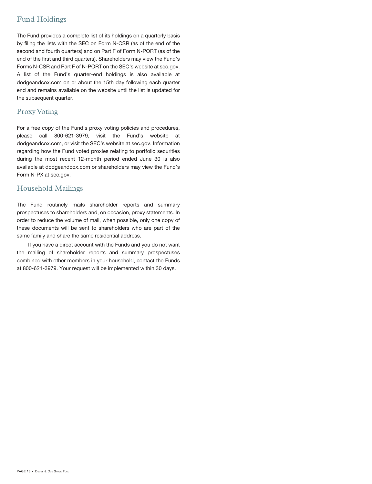## Fund Holdings

The Fund provides a complete list of its holdings on a quarterly basis by filing the lists with the SEC on Form N-CSR (as of the end of the second and fourth quarters) and on Part F of Form N-PORT (as of the end of the first and third quarters). Shareholders may view the Fund's Forms N-CSR and Part F of N-PORT on the SEC's website at sec.gov. A list of the Fund's quarter-end holdings is also available at dodgeandcox.com on or about the 15th day following each quarter end and remains available on the website until the list is updated for the subsequent quarter.

## Proxy Voting

For a free copy of the Fund's proxy voting policies and procedures, please call 800-621-3979, visit the Fund's website at dodgeandcox.com, or visit the SEC's website at sec.gov. Information regarding how the Fund voted proxies relating to portfolio securities during the most recent 12-month period ended June 30 is also available at dodgeandcox.com or shareholders may view the Fund's Form N-PX at sec.gov.

## Household Mailings

The Fund routinely mails shareholder reports and summary prospectuses to shareholders and, on occasion, proxy statements. In order to reduce the volume of mail, when possible, only one copy of these documents will be sent to shareholders who are part of the same family and share the same residential address.

If you have a direct account with the Funds and you do not want the mailing of shareholder reports and summary prospectuses combined with other members in your household, contact the Funds at 800-621-3979. Your request will be implemented within 30 days.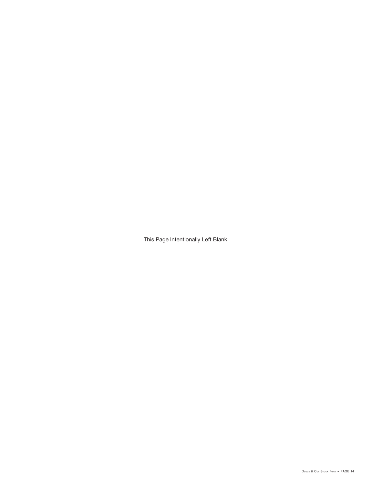This Page Intentionally Left Blank